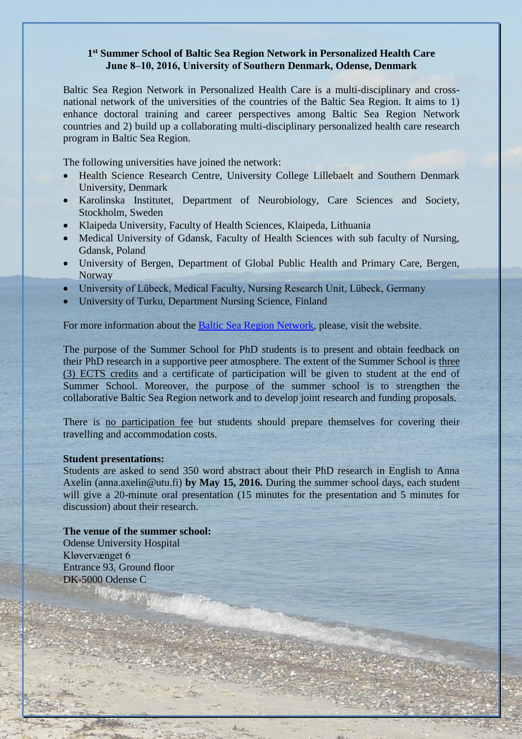### **1 st Summer School of Baltic Sea Region Network in Personalized Health Care June 8‒10, 2016, University of Southern Denmark, Odense, Denmark**

Baltic Sea Region Network in Personalized Health Care is a multi-disciplinary and crossnational network of the universities of the countries of the Baltic Sea Region. It aims to 1) enhance doctoral training and career perspectives among Baltic Sea Region Network countries and 2) build up a collaborating multi-disciplinary personalized health care research program in Baltic Sea Region.

The following universities have joined the network:

- Health Science Research Centre, University College Lillebaelt and Southern Denmark University, Denmark
- Karolinska Institutet, Department of Neurobiology, Care Sciences and Society, Stockholm, Sweden
- Klaipeda University, Faculty of Health Sciences, Klaipeda, Lithuania
- Medical University of Gdansk, Faculty of Health Sciences with sub faculty of Nursing, Gdansk, Poland
- University of Bergen, Department of Global Public Health and Primary Care, Bergen, Norway
- University of Lübeck, Medical Faculty, Nursing Research Unit, Lübeck, Germany
- University of Turku, Department Nursing Science, Finland

For more information about the [Baltic Sea Region Network,](http://www.utu.fi/en/units/med/units/hoitotiede/baltic-sea-region/Pages/home.aspx) please, visit the website.

The purpose of the Summer School for PhD students is to present and obtain feedback on their PhD research in a supportive peer atmosphere. The extent of the Summer School is three (3) ECTS credits and a certificate of participation will be given to student at the end of Summer School. Moreover, the purpose of the summer school is to strengthen the collaborative Baltic Sea Region network and to develop joint research and funding proposals*.*

There is no participation fee but students should prepare themselves for covering their travelling and accommodation costs.

### **Student presentations:**

Students are asked to send 350 word abstract about their PhD research in English to Anna Axelin (anna.axelin@utu.fi) **by May 15, 2016.** During the summer school days, each student will give a 20-minute oral presentation (15 minutes for the presentation and 5 minutes for discussion) about their research.

#### **The venue of the summer school:**

Odense University Hospital Kløvervænget 6 Entrance 93, Ground floor DK-5000 Odense C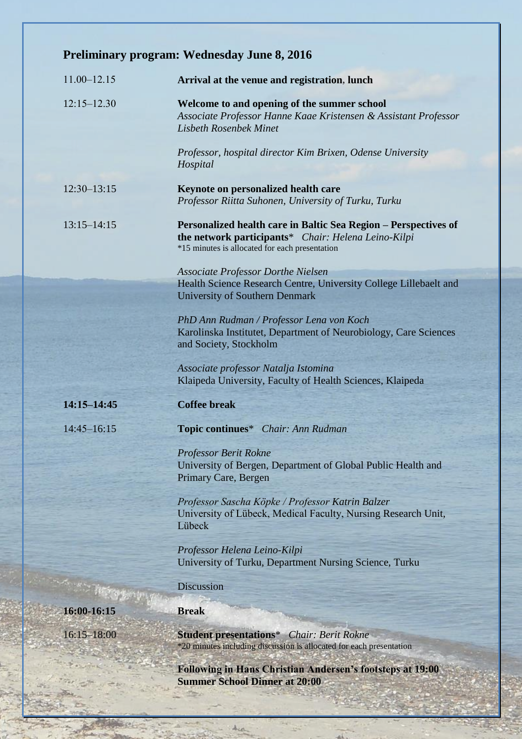|                 | <b>Preliminary program: Wednesday June 8, 2016</b>                                                                                                                                                            |
|-----------------|---------------------------------------------------------------------------------------------------------------------------------------------------------------------------------------------------------------|
| $11.00 - 12.15$ | Arrival at the venue and registration, lunch                                                                                                                                                                  |
| $12:15 - 12.30$ | Welcome to and opening of the summer school<br>Associate Professor Hanne Kaae Kristensen & Assistant Professor<br><b>Lisbeth Rosenbek Minet</b><br>Professor, hospital director Kim Brixen, Odense University |
|                 | Hospital                                                                                                                                                                                                      |
| $12:30 - 13:15$ | Keynote on personalized health care<br>Professor Riitta Suhonen, University of Turku, Turku                                                                                                                   |
| $13:15 - 14:15$ | Personalized health care in Baltic Sea Region – Perspectives of<br>the network participants* Chair: Helena Leino-Kilpi<br>*15 minutes is allocated for each presentation                                      |
|                 | <b>Associate Professor Dorthe Nielsen</b>                                                                                                                                                                     |
|                 | Health Science Research Centre, University College Lillebaelt and<br><b>University of Southern Denmark</b>                                                                                                    |
|                 | PhD Ann Rudman / Professor Lena von Koch<br>Karolinska Institutet, Department of Neurobiology, Care Sciences<br>and Society, Stockholm                                                                        |
|                 | Associate professor Natalja Istomina<br>Klaipeda University, Faculty of Health Sciences, Klaipeda                                                                                                             |
| 14:15-14:45     | <b>Coffee break</b>                                                                                                                                                                                           |
| $14:45 - 16:15$ | Topic continues* Chair: Ann Rudman                                                                                                                                                                            |
|                 | Professor Berit Rokne<br>University of Bergen, Department of Global Public Health and<br>Primary Care, Bergen                                                                                                 |
|                 | Professor Sascha Köpke / Professor Katrin Balzer<br>University of Lübeck, Medical Faculty, Nursing Research Unit,<br>Lübeck                                                                                   |
|                 | Professor Helena Leino-Kilpi                                                                                                                                                                                  |
|                 | University of Turku, Department Nursing Science, Turku                                                                                                                                                        |
|                 | <b>Discussion</b>                                                                                                                                                                                             |
| 16:00-16:15     | <b>Break</b>                                                                                                                                                                                                  |
| $16:15 - 18:00$ | <b>Student presentations*</b> Chair: Berit Rokne<br>*20 minutes including discussion is allocated for each presentation                                                                                       |
|                 | <b>Following in Hans Christian Andersen's footsteps at 19:00</b><br><b>Summer School Dinner at 20:00</b>                                                                                                      |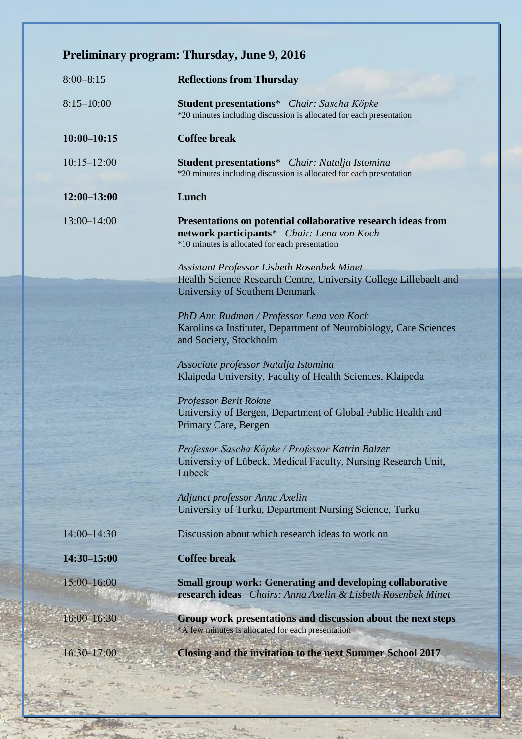# **Preliminary program: Thursday, June 9, 2016**

| $8:00 - 8:15$   | <b>Reflections from Thursday</b>                                                                                                                             |
|-----------------|--------------------------------------------------------------------------------------------------------------------------------------------------------------|
| $8:15 - 10:00$  | Student presentations* Chair: Sascha Köpke<br>*20 minutes including discussion is allocated for each presentation                                            |
| $10:00 - 10:15$ | <b>Coffee break</b>                                                                                                                                          |
| $10:15 - 12:00$ | <b>Student presentations</b> * Chair: Natalja Istomina<br>*20 minutes including discussion is allocated for each presentation                                |
| $12:00 - 13:00$ | Lunch                                                                                                                                                        |
| $13:00 - 14:00$ | Presentations on potential collaborative research ideas from<br>network participants* Chair: Lena von Koch<br>*10 minutes is allocated for each presentation |
|                 | Assistant Professor Lisbeth Rosenbek Minet<br>Health Science Research Centre, University College Lillebaelt and<br><b>University of Southern Denmark</b>     |
|                 | PhD Ann Rudman / Professor Lena von Koch<br>Karolinska Institutet, Department of Neurobiology, Care Sciences<br>and Society, Stockholm                       |
|                 | Associate professor Natalja Istomina<br>Klaipeda University, Faculty of Health Sciences, Klaipeda                                                            |
|                 | Professor Berit Rokne<br>University of Bergen, Department of Global Public Health and<br>Primary Care, Bergen                                                |
|                 | Professor Sascha Köpke / Professor Katrin Balzer<br>University of Lübeck, Medical Faculty, Nursing Research Unit,<br>Lübeck                                  |
|                 | Adjunct professor Anna Axelin<br>University of Turku, Department Nursing Science, Turku                                                                      |
| 14:00-14:30     | Discussion about which research ideas to work on                                                                                                             |
| 14:30-15:00     | <b>Coffee break</b>                                                                                                                                          |
| 15:00-16:00     | <b>Small group work: Generating and developing collaborative</b><br>research ideas Chairs: Anna Axelin & Lisbeth Rosenbek Minet                              |
| 16:00-16:30     | Group work presentations and discussion about the next steps<br>*A few minutes is allocated for each presentation                                            |
| $16:30 - 17:00$ | <b>Closing and the invitation to the next Summer School 2017</b>                                                                                             |
|                 |                                                                                                                                                              |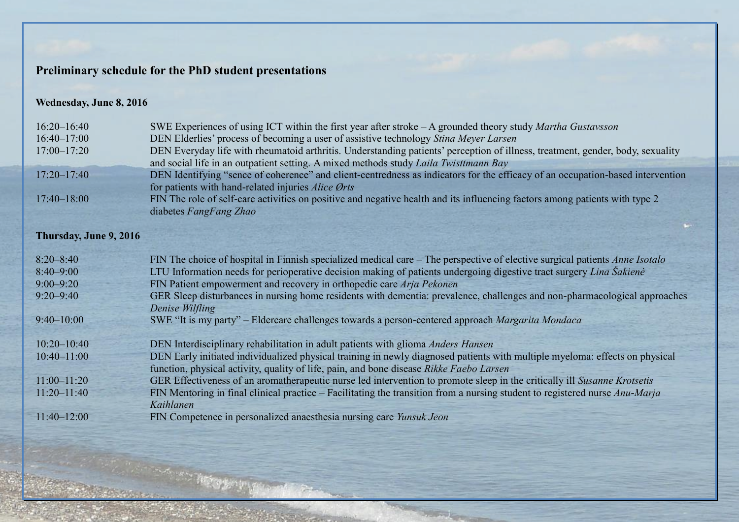## **Preliminary schedule for the PhD student presentations**

### **Wednesday, June 8, 2016**

| $16:20 - 16:40$        | SWE Experiences of using ICT within the first year after stroke $-A$ grounded theory study <i>Martha Gustavsson</i>                                   |
|------------------------|-------------------------------------------------------------------------------------------------------------------------------------------------------|
| $16:40 - 17:00$        | DEN Elderlies' process of becoming a user of assistive technology Stina Meyer Larsen                                                                  |
| $17:00 - 17:20$        | DEN Everyday life with rheumatoid arthritis. Understanding patients' perception of illness, treatment, gender, body, sexuality                        |
|                        | and social life in an outpatient setting. A mixed methods study Laila Twisttmann Bay                                                                  |
| $17:20 - 17:40$        | DEN Identifying "sence of coherence" and client-centredness as indicators for the efficacy of an occupation-based intervention                        |
| $17:40 - 18:00$        | for patients with hand-related injuries Alice Ørts                                                                                                    |
|                        | FIN The role of self-care activities on positive and negative health and its influencing factors among patients with type 2<br>diabetes FangFang Zhao |
|                        |                                                                                                                                                       |
| Thursday, June 9, 2016 |                                                                                                                                                       |
|                        |                                                                                                                                                       |
| $8:20 - 8:40$          | FIN The choice of hospital in Finnish specialized medical care – The perspective of elective surgical patients <i>Anne Isotalo</i>                    |
| $8:40 - 9:00$          | LTU Information needs for perioperative decision making of patients undergoing digestive tract surgery Lina Sakiene                                   |
| $9:00 - 9:20$          | FIN Patient empowerment and recovery in orthopedic care Arja Pekonen                                                                                  |
| $9:20 - 9:40$          | GER Sleep disturbances in nursing home residents with dementia: prevalence, challenges and non-pharmacological approaches                             |
|                        | Denise Wilfling                                                                                                                                       |
| $9:40 - 10:00$         | SWE "It is my party" – Eldercare challenges towards a person-centered approach Margarita Mondaca                                                      |
|                        |                                                                                                                                                       |
| $10:20 - 10:40$        | DEN Interdisciplinary rehabilitation in adult patients with glioma Anders Hansen                                                                      |
| $10:40 - 11:00$        | DEN Early initiated individualized physical training in newly diagnosed patients with multiple myeloma: effects on physical                           |
|                        | function, physical activity, quality of life, pain, and bone disease Rikke Faebo Larsen                                                               |
| $11:00 - 11:20$        | GER Effectiveness of an aromatherapeutic nurse led intervention to promote sleep in the critically ill Susanne Krotsetis                              |
| $11:20 - 11:40$        | FIN Mentoring in final clinical practice – Facilitating the transition from a nursing student to registered nurse Anu-Marja                           |
|                        | Kaihlanen                                                                                                                                             |
| $11:40 - 12:00$        | FIN Competence in personalized anaesthesia nursing care Yunsuk Jeon                                                                                   |